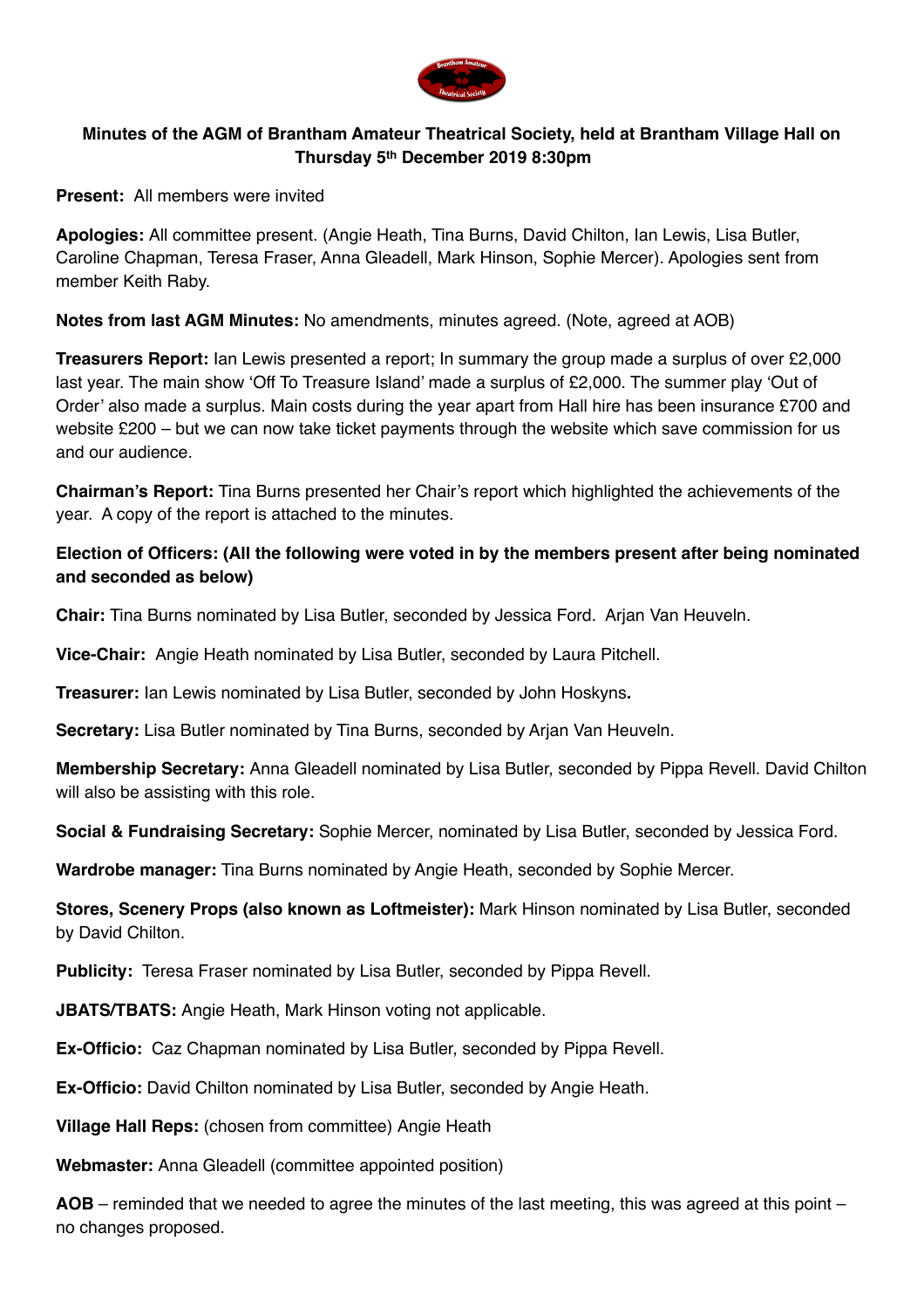

## **Minutes of the AGM of Brantham Amateur Theatrical Society, held at Brantham Village Hall on Thursday 5th December 2019 8:30pm**

**Present:** All members were invited

**Apologies:** All committee present. (Angie Heath, Tina Burns, David Chilton, Ian Lewis, Lisa Butler, Caroline Chapman, Teresa Fraser, Anna Gleadell, Mark Hinson, Sophie Mercer). Apologies sent from member Keith Raby.

**Notes from last AGM Minutes:** No amendments, minutes agreed. (Note, agreed at AOB)

**Treasurers Report:** Ian Lewis presented a report; In summary the group made a surplus of over £2,000 last year. The main show 'Off To Treasure Island' made a surplus of £2,000. The summer play 'Out of Order' also made a surplus. Main costs during the year apart from Hall hire has been insurance £700 and website £200 – but we can now take ticket payments through the website which save commission for us and our audience.

**Chairman's Report:** Tina Burns presented her Chair's report which highlighted the achievements of the year. A copy of the report is attached to the minutes.

## **Election of Officers: (All the following were voted in by the members present after being nominated and seconded as below)**

**Chair:** Tina Burns nominated by Lisa Butler, seconded by Jessica Ford. Arjan Van Heuveln.

**Vice-Chair:** Angie Heath nominated by Lisa Butler, seconded by Laura Pitchell.

**Treasurer:** Ian Lewis nominated by Lisa Butler, seconded by John Hoskyns**.** 

**Secretary:** Lisa Butler nominated by Tina Burns, seconded by Arjan Van Heuveln.

**Membership Secretary:** Anna Gleadell nominated by Lisa Butler, seconded by Pippa Revell. David Chilton will also be assisting with this role.

**Social & Fundraising Secretary:** Sophie Mercer, nominated by Lisa Butler, seconded by Jessica Ford.

**Wardrobe manager:** Tina Burns nominated by Angie Heath, seconded by Sophie Mercer.

**Stores, Scenery Props (also known as Loftmeister):** Mark Hinson nominated by Lisa Butler, seconded by David Chilton.

**Publicity:** Teresa Fraser nominated by Lisa Butler, seconded by Pippa Revell.

**JBATS/TBATS:** Angie Heath, Mark Hinson voting not applicable.

**Ex-Officio:** Caz Chapman nominated by Lisa Butler, seconded by Pippa Revell.

**Ex-Officio:** David Chilton nominated by Lisa Butler, seconded by Angie Heath.

**Village Hall Reps:** (chosen from committee) Angie Heath

**Webmaster:** Anna Gleadell (committee appointed position)

**AOB** – reminded that we needed to agree the minutes of the last meeting, this was agreed at this point – no changes proposed.